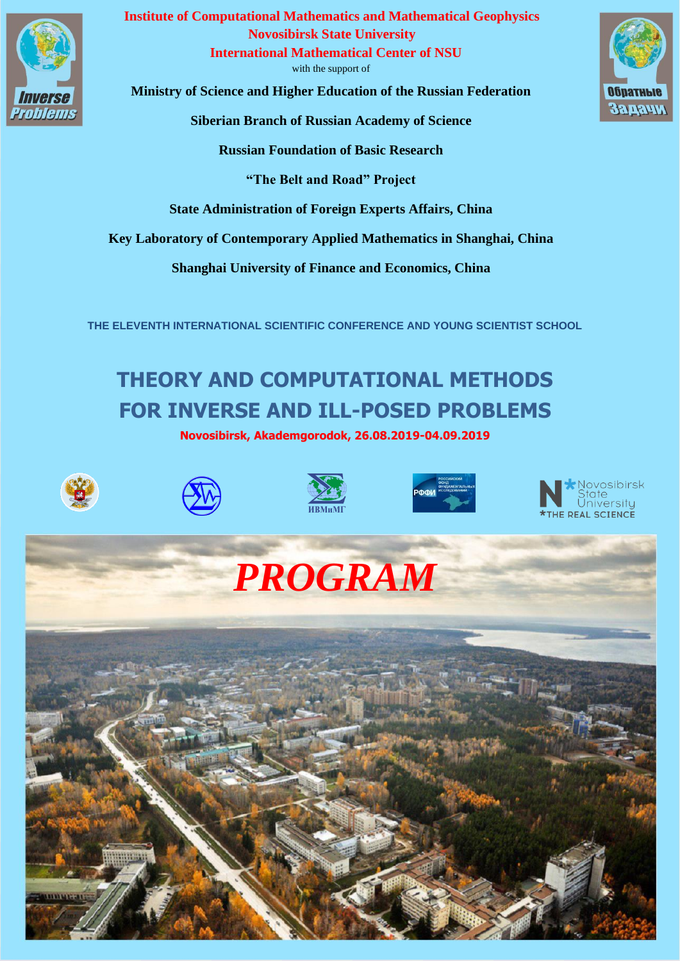

**Institute of Computational Mathematics and Mathematical Geophysics Novosibirsk State University International Mathematical Center of NSU**

with the support of

**Ministry of Science and Higher Education of the Russian Federation**

**Siberian Branch of Russian Academy of Science**

**Russian Foundation of Basic Research**

**"The Belt and Road" Project**

**State Administration of Foreign Experts Affairs, China**

**Key Laboratory of Contemporary Applied Mathematics in Shanghai, China**

**Shanghai University of Finance and Economics, China**

**THE ELEVENTH INTERNATIONAL SCIENTIFIC CONFERENCE AND YOUNG SCIENTIST SCHOOL**

## **THEORY AND COMPUTATIONAL METHODS FOR INVERSE AND ILL-POSED PROBLEMS**

**Novosibirsk, Akademgorodok, 26.08.2019-04.09.2019**













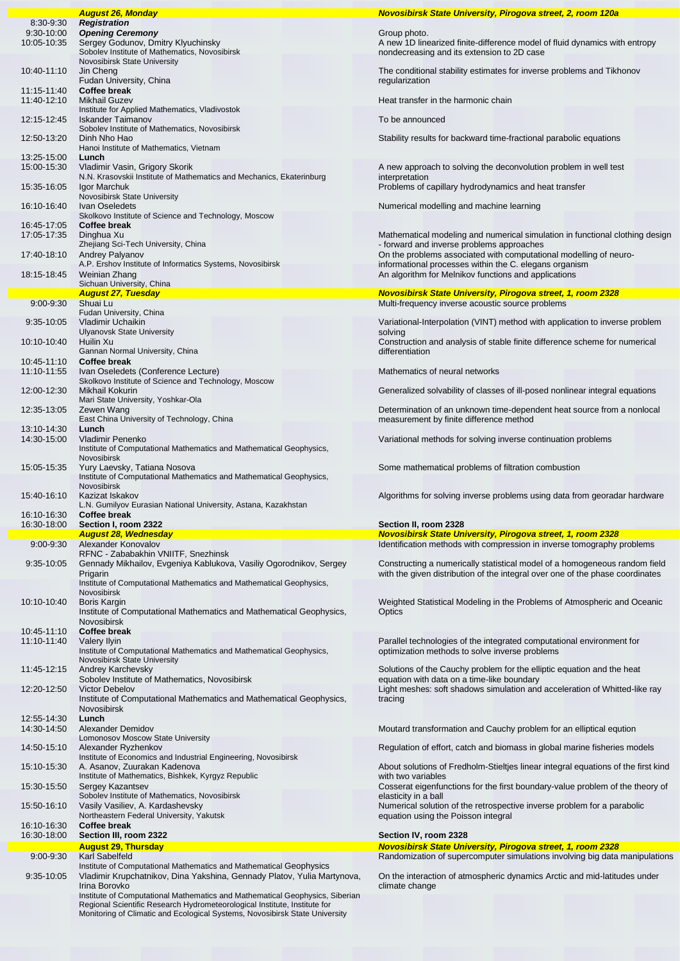|                                            | <b>August 26, Monday</b>                                                                                                                                                                                                                                  | Novosibirsk State University, Pirogova street, 2, room 120a                                                                                                 |
|--------------------------------------------|-----------------------------------------------------------------------------------------------------------------------------------------------------------------------------------------------------------------------------------------------------------|-------------------------------------------------------------------------------------------------------------------------------------------------------------|
| $8:30-9:30$<br>$9:30-10:00$<br>10:05-10:35 | <b>Registration</b><br><b>Opening Ceremony</b><br>Sergey Godunov, Dmitry Klyuchinsky<br>Sobolev Institute of Mathematics, Novosibirsk                                                                                                                     | Group photo.<br>A new 1D linearized finite-difference model of fluid dynamics with entropy<br>nondecreasing and its extension to 2D case                    |
| 10:40-11:10                                | Novosibirsk State University<br>Jin Cheng<br>Fudan University, China                                                                                                                                                                                      | The conditional stability estimates for inverse problems and Tikhonov<br>regularization                                                                     |
| 11:15-11:40<br>11:40-12:10                 | Coffee break<br><b>Mikhail Guzev</b>                                                                                                                                                                                                                      | Heat transfer in the harmonic chain                                                                                                                         |
| 12:15-12:45                                | Institute for Applied Mathematics, Vladivostok<br><b>Iskander Taimanov</b>                                                                                                                                                                                | To be announced                                                                                                                                             |
| 12:50-13:20                                | Sobolev Institute of Mathematics, Novosibirsk<br>Dinh Nho Hao<br>Hanoi Institute of Mathematics, Vietnam                                                                                                                                                  | Stability results for backward time-fractional parabolic equations                                                                                          |
| 13:25-15:00<br>15:00-15:30                 | Lunch<br>Vladimir Vasin, Grigory Skorik                                                                                                                                                                                                                   | A new approach to solving the deconvolution problem in well test                                                                                            |
| 15:35-16:05                                | N.N. Krasovskii Institute of Mathematics and Mechanics, Ekaterinburg<br>Igor Marchuk<br>Novosibirsk State University                                                                                                                                      | interpretation<br>Problems of capillary hydrodynamics and heat transfer                                                                                     |
| 16:10-16:40                                | Ivan Oseledets                                                                                                                                                                                                                                            | Numerical modelling and machine learning                                                                                                                    |
| 16:45-17:05<br>17:05-17:35                 | Skolkovo Institute of Science and Technology, Moscow<br>Coffee break<br>Dinghua Xu                                                                                                                                                                        | Mathematical modeling and numerical simulation in functional clothing design                                                                                |
| 17:40-18:10                                | Zhejiang Sci-Tech University, China<br>Andrey Palyanov                                                                                                                                                                                                    | - forward and inverse problems approaches<br>On the problems associated with computational modelling of neuro-                                              |
| 18:15-18:45                                | A.P. Ershov Institute of Informatics Systems, Novosibirsk<br>Weinian Zhang                                                                                                                                                                                | informational processes within the C. elegans organism<br>An algorithm for Melnikov functions and applications                                              |
|                                            | Sichuan University, China<br><b>August 27, Tuesday</b>                                                                                                                                                                                                    | <b>Novosibirsk State University, Pirogova street, 1, room 2328</b>                                                                                          |
| $9:00 - 9:30$                              | Shuai Lu                                                                                                                                                                                                                                                  | Multi-frequency inverse acoustic source problems                                                                                                            |
| $9:35-10:05$                               | Fudan University, China<br>Vladimir Uchaikin                                                                                                                                                                                                              | Variational-Interpolation (VINT) method with application to inverse problem                                                                                 |
| 10:10-10:40                                | <b>Ulyanovsk State University</b><br>Huilin Xu<br>Gannan Normal University, China                                                                                                                                                                         | solving<br>Construction and analysis of stable finite difference scheme for numerical<br>differentiation                                                    |
| 10:45-11:10<br>11:10-11:55                 | Coffee break<br>Ivan Oseledets (Conference Lecture)                                                                                                                                                                                                       | Mathematics of neural networks                                                                                                                              |
| 12:00-12:30                                | Skolkovo Institute of Science and Technology, Moscow<br>Mikhail Kokurin                                                                                                                                                                                   | Generalized solvability of classes of ill-posed nonlinear integral equations                                                                                |
| 12:35-13:05                                | Mari State University, Yoshkar-Ola<br>Zewen Wang<br>East China University of Technology, China                                                                                                                                                            | Determination of an unknown time-dependent heat source from a nonlocal<br>measurement by finite difference method                                           |
| 13:10-14:30<br>14:30-15:00                 | Lunch<br>Vladimir Penenko<br>Institute of Computational Mathematics and Mathematical Geophysics,                                                                                                                                                          | Variational methods for solving inverse continuation problems                                                                                               |
| 15:05-15:35                                | Novosibirsk<br>Yury Laevsky, Tatiana Nosova<br>Institute of Computational Mathematics and Mathematical Geophysics,                                                                                                                                        | Some mathematical problems of filtration combustion                                                                                                         |
|                                            | Novosibirsk                                                                                                                                                                                                                                               |                                                                                                                                                             |
| 15:40-16:10                                | Kazizat Iskakov                                                                                                                                                                                                                                           | Algorithms for solving inverse problems using data from georadar hardware                                                                                   |
| 16:10-16:30                                | L.N. Gumilyov Eurasian National University, Astana, Kazakhstan<br>Coffee break                                                                                                                                                                            |                                                                                                                                                             |
| 16:30-18:00                                | Section I, room 2322                                                                                                                                                                                                                                      | Section II, room 2328                                                                                                                                       |
| $9:00 - 9:30$                              | <b>August 28, Wednesday</b><br>Alexander Konovalov                                                                                                                                                                                                        | <b>Novosibirsk State University, Pirogova street, 1, room 2328</b><br>Identification methods with compression in inverse tomography problems                |
| $9:35-10:05$                               | RFNC - Zababakhin VNIITF, Snezhinsk<br>Gennady Mikhailov, Evgeniya Kablukova, Vasiliy Ogorodnikov, Sergey<br>Prigarin                                                                                                                                     | Constructing a numerically statistical model of a homogeneous random field<br>with the given distribution of the integral over one of the phase coordinates |
|                                            | Institute of Computational Mathematics and Mathematical Geophysics,<br>Novosibirsk                                                                                                                                                                        |                                                                                                                                                             |
| 10:10-10:40                                | Boris Kargin<br>Institute of Computational Mathematics and Mathematical Geophysics,<br>Novosibirsk                                                                                                                                                        | Weighted Statistical Modeling in the Problems of Atmospheric and Oceanic<br>Optics                                                                          |
| 10:45-11:10<br>11:10-11:40                 | Coffee break<br>Valery Ilyin<br>Institute of Computational Mathematics and Mathematical Geophysics,                                                                                                                                                       | Parallel technologies of the integrated computational environment for<br>optimization methods to solve inverse problems                                     |
| 11:45-12:15                                | Novosibirsk State University<br>Andrey Karchevsky                                                                                                                                                                                                         | Solutions of the Cauchy problem for the elliptic equation and the heat                                                                                      |
| 12:20-12:50                                | Sobolev Institute of Mathematics, Novosibirsk<br><b>Victor Debelov</b><br>Institute of Computational Mathematics and Mathematical Geophysics,                                                                                                             | equation with data on a time-like boundary<br>Light meshes: soft shadows simulation and acceleration of Whitted-like ray<br>tracing                         |
| 12:55-14:30                                | Novosibirsk<br>Lunch                                                                                                                                                                                                                                      |                                                                                                                                                             |
| 14:30-14:50                                | Alexander Demidov<br>Lomonosov Moscow State University                                                                                                                                                                                                    | Moutard transformation and Cauchy problem for an elliptical eqution                                                                                         |
| 14:50-15:10                                | Alexander Ryzhenkov<br>Institute of Economics and Industrial Engineering, Novosibirsk                                                                                                                                                                     | Regulation of effort, catch and biomass in global marine fisheries models                                                                                   |
| 15:10-15:30                                | A. Asanov, Zuurakan Kadenova<br>Institute of Mathematics, Bishkek, Kyrgyz Republic                                                                                                                                                                        | About solutions of Fredholm-Stieltjes linear integral equations of the first kind<br>with two variables                                                     |
| 15:30-15:50                                | Sergey Kazantsev<br>Sobolev Institute of Mathematics, Novosibirsk                                                                                                                                                                                         | Cosserat eigenfunctions for the first boundary-value problem of the theory of<br>elasticity in a ball                                                       |
| 15:50-16:10                                | Vasily Vasiliev, A. Kardashevsky<br>Northeastern Federal University, Yakutsk                                                                                                                                                                              | Numerical solution of the retrospective inverse problem for a parabolic<br>equation using the Poisson integral                                              |
| 16:10-16:30                                | Coffee break                                                                                                                                                                                                                                              |                                                                                                                                                             |
| 16:30-18:00                                | Section III, room 2322                                                                                                                                                                                                                                    | Section IV, room 2328                                                                                                                                       |
| $9:00-9:30$                                | <b>August 29, Thursday</b><br>Karl Sabelfeld                                                                                                                                                                                                              | <b>Novosibirsk State University, Pirogova street, 1, room 2328</b><br>Randomization of supercomputer simulations involving big data manipulations           |
| 9:35-10:05                                 | Institute of Computational Mathematics and Mathematical Geophysics<br>Vladimir Krupchatnikov, Dina Yakshina, Gennady Platov, Yulia Martynova,                                                                                                             | On the interaction of atmospheric dynamics Arctic and mid-latitudes under                                                                                   |
|                                            | Irina Borovko<br>Institute of Computational Mathematics and Mathematical Geophysics, Siberian<br>Regional Scientific Research Hydrometeorological Institute, Institute for<br>Monitoring of Climatic and Ecological Systems, Novosibirsk State University | climate change                                                                                                                                              |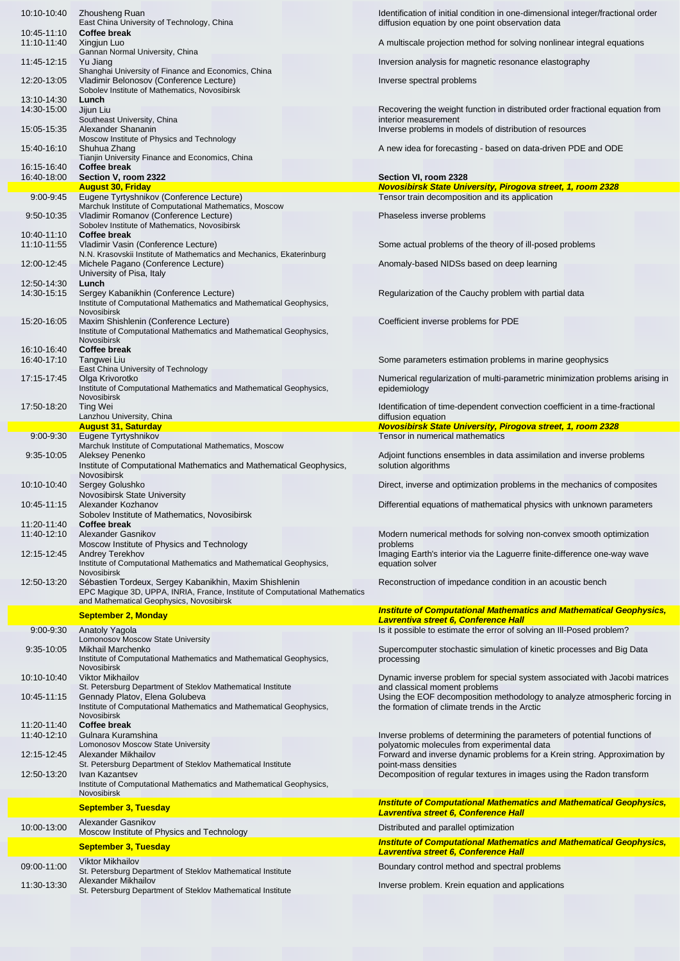| 10:10-10:40                  | Zhousheng Ruan<br>East China University of Technology, China                                                                                                         | Identification of initial condition in one-dimensional integer/fractional order<br>diffusion equation by one point observation data                         |
|------------------------------|----------------------------------------------------------------------------------------------------------------------------------------------------------------------|-------------------------------------------------------------------------------------------------------------------------------------------------------------|
| $10:45-11:10$<br>11:10-11:40 | Coffee break<br>Xingjun Luo                                                                                                                                          | A multiscale projection method for solving nonlinear integral equations                                                                                     |
| 11:45-12:15                  | Gannan Normal University, China<br>Yu Jiang                                                                                                                          | Inversion analysis for magnetic resonance elastography                                                                                                      |
| 12:20-13:05                  | Shanghai University of Finance and Economics, China<br>Vladimir Belonosov (Conference Lecture)<br>Sobolev Institute of Mathematics, Novosibirsk                      | Inverse spectral problems                                                                                                                                   |
| 13:10-14:30<br>14:30-15:00   | Lunch<br>Jijun Liu                                                                                                                                                   | Recovering the weight function in distributed order fractional equation from                                                                                |
| 15:05-15:35                  | Southeast University, China<br>Alexander Shananin<br>Moscow Institute of Physics and Technology                                                                      | interior measurement<br>Inverse problems in models of distribution of resources                                                                             |
| 15:40-16:10                  | Shuhua Zhang<br>Tianjin University Finance and Economics, China                                                                                                      | A new idea for forecasting - based on data-driven PDE and ODE                                                                                               |
| 16:15-16:40<br>16:40-18:00   | <b>Coffee break</b><br>Section V, room 2322                                                                                                                          | Section VI, room 2328                                                                                                                                       |
|                              | <b>August 30, Friday</b>                                                                                                                                             | <b>Novosibirsk State University, Pirogova street, 1, room 2328</b>                                                                                          |
| $9:00 - 9:45$                | Eugene Tyrtyshnikov (Conference Lecture)<br>Marchuk Institute of Computational Mathematics, Moscow                                                                   | Tensor train decomposition and its application                                                                                                              |
| $9:50 - 10:35$               | Vladimir Romanov (Conference Lecture)<br>Sobolev Institute of Mathematics, Novosibirsk                                                                               | Phaseless inverse problems                                                                                                                                  |
| 10:40-11:10<br>11:10-11:55   | Coffee break<br>Vladimir Vasin (Conference Lecture)                                                                                                                  | Some actual problems of the theory of ill-posed problems                                                                                                    |
| 12:00-12:45                  | N.N. Krasovskii Institute of Mathematics and Mechanics, Ekaterinburg<br>Michele Pagano (Conference Lecture)                                                          | Anomaly-based NIDSs based on deep learning                                                                                                                  |
| 12:50-14:30                  | University of Pisa, Italy<br>Lunch                                                                                                                                   |                                                                                                                                                             |
| 14:30-15:15                  | Sergey Kabanikhin (Conference Lecture)<br>Institute of Computational Mathematics and Mathematical Geophysics,<br>Novosibirsk                                         | Regularization of the Cauchy problem with partial data                                                                                                      |
| 15:20-16:05                  | Maxim Shishlenin (Conference Lecture)<br>Institute of Computational Mathematics and Mathematical Geophysics,<br>Novosibirsk                                          | Coefficient inverse problems for PDE                                                                                                                        |
| 16:10-16:40<br>16:40-17:10   | Coffee break<br>Tangwei Liu                                                                                                                                          | Some parameters estimation problems in marine geophysics                                                                                                    |
| 17:15-17:45                  | East China University of Technology<br>Olga Krivorotko<br>Institute of Computational Mathematics and Mathematical Geophysics,                                        | Numerical regularization of multi-parametric minimization problems arising in<br>epidemiology                                                               |
| 17:50-18:20                  | Novosibirsk<br>Ting Wei<br>Lanzhou University, China                                                                                                                 | Identification of time-dependent convection coefficient in a time-fractional<br>diffusion equation                                                          |
|                              | <b>August 31, Saturday</b>                                                                                                                                           | <b>Novosibirsk State University, Pirogova street, 1, room 2328</b>                                                                                          |
| $9:00 - 9:30$                | Eugene Tyrtyshnikov<br>Marchuk Institute of Computational Mathematics, Moscow                                                                                        | Tensor in numerical mathematics                                                                                                                             |
| 9:35-10:05                   | Aleksey Penenko<br>Institute of Computational Mathematics and Mathematical Geophysics,                                                                               | Adjoint functions ensembles in data assimilation and inverse problems<br>solution algorithms                                                                |
| 10:10-10:40                  | Novosibirsk<br>Sergey Golushko                                                                                                                                       | Direct, inverse and optimization problems in the mechanics of composites                                                                                    |
| $10:45-11:15$                | Novosibirsk State University<br>Alexander Kozhanov<br>Sobolev Institute of Mathematics, Novosibirsk                                                                  | Differential equations of mathematical physics with unknown parameters                                                                                      |
| 11:20-11:40<br>11:40-12:10   | <b>Coffee break</b><br>Alexander Gasnikov                                                                                                                            | Modern numerical methods for solving non-convex smooth optimization                                                                                         |
| 12:15-12:45                  | Moscow Institute of Physics and Technology<br><b>Andrey Terekhov</b>                                                                                                 | problems<br>Imaging Earth's interior via the Laguerre finite-difference one-way wave                                                                        |
| 12:50-13:20                  | Institute of Computational Mathematics and Mathematical Geophysics,<br>Novosibirsk<br>Sébastien Tordeux, Sergey Kabanikhin, Maxim Shishlenin                         | equation solver<br>Reconstruction of impedance condition in an acoustic bench                                                                               |
|                              | EPC Magique 3D, UPPA, INRIA, France, Institute of Computational Mathematics<br>and Mathematical Geophysics, Novosibirsk                                              |                                                                                                                                                             |
|                              | <b>September 2, Monday</b>                                                                                                                                           | <b>Institute of Computational Mathematics and Mathematical Geophysics,</b><br><b>Lavrentiva street 6, Conference Hall</b>                                   |
| $9:00-9:30$                  | Anatoly Yagola                                                                                                                                                       | Is it possible to estimate the error of solving an III-Posed problem?                                                                                       |
| 9:35-10:05                   | <b>Lomonosov Moscow State University</b><br>Mikhail Marchenko<br>Institute of Computational Mathematics and Mathematical Geophysics,                                 | Supercomputer stochastic simulation of kinetic processes and Big Data<br>processing                                                                         |
| 10:10-10:40                  | Novosibirsk<br><b>Viktor Mikhailov</b>                                                                                                                               | Dynamic inverse problem for special system associated with Jacobi matrices                                                                                  |
| 10:45-11:15                  | St. Petersburg Department of Steklov Mathematical Institute<br>Gennady Platov, Elena Golubeva<br>Institute of Computational Mathematics and Mathematical Geophysics, | and classical moment problems<br>Using the EOF decomposition methodology to analyze atmospheric forcing in<br>the formation of climate trends in the Arctic |
| 11:20-11:40                  | Novosibirsk<br><b>Coffee break</b>                                                                                                                                   |                                                                                                                                                             |
| 11:40-12:10                  | Gulnara Kuramshina<br>Lomonosov Moscow State University                                                                                                              | Inverse problems of determining the parameters of potential functions of<br>polyatomic molecules from experimental data                                     |
| 12:15-12:45                  | Alexander Mikhailov<br>St. Petersburg Department of Steklov Mathematical Institute                                                                                   | Forward and inverse dynamic problems for a Krein string. Approximation by<br>point-mass densities                                                           |
| 12:50-13:20                  | Ivan Kazantsev<br>Institute of Computational Mathematics and Mathematical Geophysics,<br>Novosibirsk                                                                 | Decomposition of regular textures in images using the Radon transform                                                                                       |
|                              | <b>September 3, Tuesday</b>                                                                                                                                          | <b>Institute of Computational Mathematics and Mathematical Geophysics,</b><br>Lavrentiva street 6, Conference Hall                                          |
| 10:00-13:00                  | Alexander Gasnikov                                                                                                                                                   | Distributed and parallel optimization                                                                                                                       |
|                              | Moscow Institute of Physics and Technology<br><b>September 3, Tuesday</b>                                                                                            | <b>Institute of Computational Mathematics and Mathematical Geophysics,</b>                                                                                  |
|                              | <b>Viktor Mikhailov</b>                                                                                                                                              | Lavrentiva street 6, Conference Hall                                                                                                                        |
| 09:00-11:00                  |                                                                                                                                                                      |                                                                                                                                                             |
|                              | St. Petersburg Department of Steklov Mathematical Institute                                                                                                          | Boundary control method and spectral problems                                                                                                               |
| 11:30-13:30                  | Alexander Mikhailov<br>St. Petersburg Department of Steklov Mathematical Institute                                                                                   | Inverse problem. Krein equation and applications                                                                                                            |